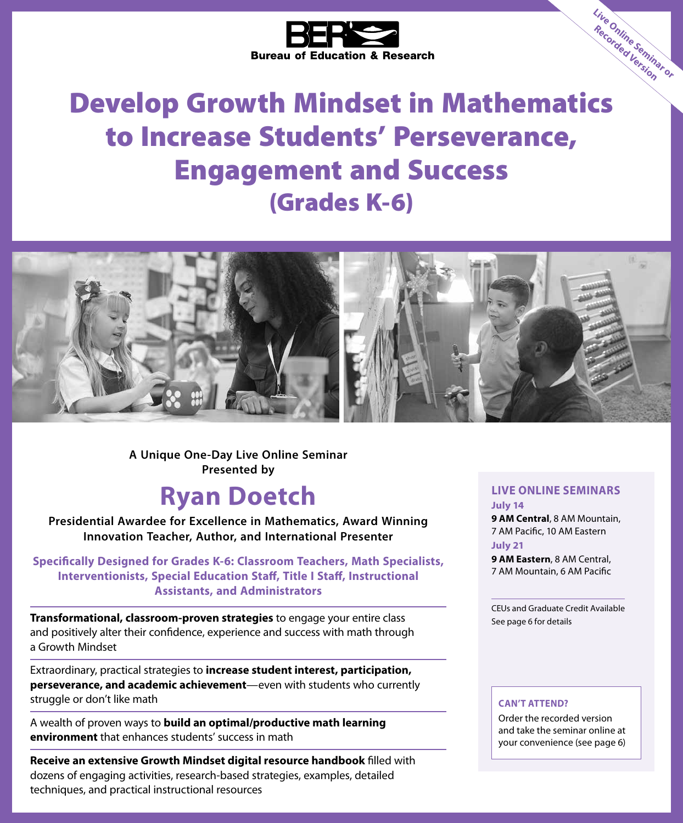

# Develop Growth Mindset in Mathematics to Increase Students' Perseverance, Engagement and Success (Grades K-6)



**A Unique One-Day Live Online Seminar Presented by**

# **Ryan Doetch**

**Presidential Awardee for Excellence in Mathematics, Award Winning Innovation Teacher, Author, and International Presenter**

**Specifically Designed for Grades K-6: Classroom Teachers, Math Specialists, Interventionists, Special Education Staff, Title I Staff, Instructional Assistants, and Administrators**

**Transformational, classroom-proven strategies** to engage your entire class and positively alter their confidence, experience and success with math through a Growth Mindset

Extraordinary, practical strategies to **increase student interest, participation, perseverance, and academic achievement**—even with students who currently struggle or don't like math

A wealth of proven ways to **build an optimal/productive math learning environment** that enhances students' success in math

**Receive an extensive Growth Mindset digital resource handbook** filled with dozens of engaging activities, research-based strategies, examples, detailed techniques, and practical instructional resources

#### **LIVE ONLINE SEMINARS July 14**

**Live Online Seminar or Recorded Version**

**9 AM Central**, 8 AM Mountain, 7 AM Pacific, 10 AM Eastern **July 21**

**9 AM Eastern**, 8 AM Central, 7 AM Mountain, 6 AM Pacific

CEUs and Graduate Credit Available See page 6 for details

#### **CAN'T ATTEND?**

Order the recorded version and take the seminar online at your convenience (see page 6)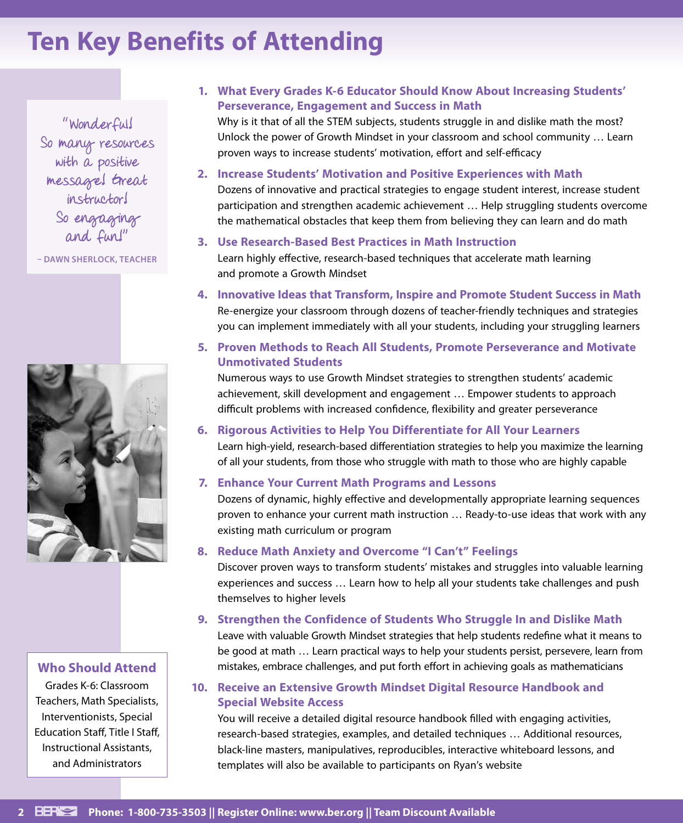# **Ten Key Benefits of Attending**

"Wonderful! So many resources with a positive message! Great instructor! So engaging and fun!"

**– DAWN SHERLOCK, TEACHER**



#### **Who Should Attend**

Grades K-6: Classroom Teachers, Math Specialists, Interventionists, Special Education Staff, Title I Staff, Instructional Assistants, and Administrators

#### **1. What Every Grades K-6 Educator Should Know About Increasing Students' Perseverance, Engagement and Success in Math**

Why is it that of all the STEM subjects, students struggle in and dislike math the most? Unlock the power of Growth Mindset in your classroom and school community … Learn proven ways to increase students' motivation, effort and self-efficacy

#### **2. Increase Students' Motivation and Positive Experiences with Math**

Dozens of innovative and practical strategies to engage student interest, increase student participation and strengthen academic achievement … Help struggling students overcome the mathematical obstacles that keep them from believing they can learn and do math

#### **3. Use Research-Based Best Practices in Math Instruction**

Learn highly effective, research-based techniques that accelerate math learning and promote a Growth Mindset

**4. Innovative Ideas that Transform, Inspire and Promote Student Success in Math** Re-energize your classroom through dozens of teacher-friendly techniques and strategies you can implement immediately with all your students, including your struggling learners

#### **5. Proven Methods to Reach All Students, Promote Perseverance and Motivate Unmotivated Students**

Numerous ways to use Growth Mindset strategies to strengthen students' academic achievement, skill development and engagement … Empower students to approach difficult problems with increased confidence, flexibility and greater perseverance

#### **6. Rigorous Activities to Help You Differentiate for All Your Learners**

Learn high-yield, research-based differentiation strategies to help you maximize the learning of all your students, from those who struggle with math to those who are highly capable

#### **7. Enhance Your Current Math Programs and Lessons**

Dozens of dynamic, highly effective and developmentally appropriate learning sequences proven to enhance your current math instruction … Ready-to-use ideas that work with any existing math curriculum or program

#### **8. Reduce Math Anxiety and Overcome "I Can't" Feelings**

Discover proven ways to transform students' mistakes and struggles into valuable learning experiences and success … Learn how to help all your students take challenges and push themselves to higher levels

#### **9. Strengthen the Confidence of Students Who Struggle In and Dislike Math**

Leave with valuable Growth Mindset strategies that help students redefine what it means to be good at math … Learn practical ways to help your students persist, persevere, learn from mistakes, embrace challenges, and put forth effort in achieving goals as mathematicians

#### **10. Receive an Extensive Growth Mindset Digital Resource Handbook and Special Website Access**

You will receive a detailed digital resource handbook filled with engaging activities, research-based strategies, examples, and detailed techniques … Additional resources, black-line masters, manipulatives, reproducibles, interactive whiteboard lessons, and templates will also be available to participants on Ryan's website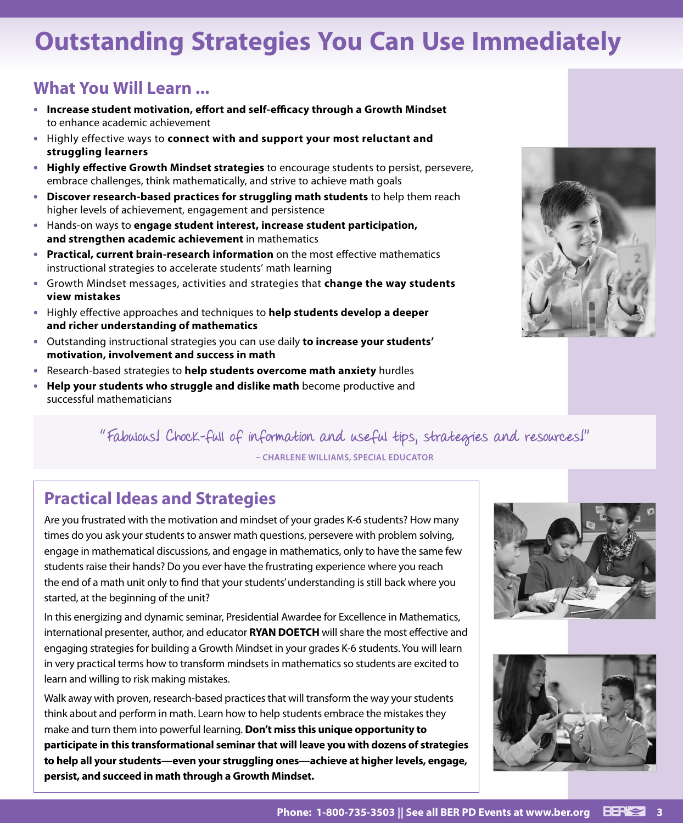# **Outstanding Strategies You Can Use Immediately**

## **What You Will Learn ...**

- **• Increase student motivation, effort and self-efficacy through a Growth Mindset**  to enhance academic achievement
- **•** Highly effective ways to **connect with and support your most reluctant and struggling learners**
- **• Highly effective Growth Mindset strategies** to encourage students to persist, persevere, embrace challenges, think mathematically, and strive to achieve math goals
- **• Discover research-based practices for struggling math students** to help them reach higher levels of achievement, engagement and persistence
- **•** Hands-on ways to **engage student interest, increase student participation, and strengthen academic achievement** in mathematics
- **• Practical, current brain-research information** on the most effective mathematics instructional strategies to accelerate students' math learning
- **•** Growth Mindset messages, activities and strategies that **change the way students view mistakes**
- **•** Highly effective approaches and techniques to **help students develop a deeper and richer understanding of mathematics**
- **•** Outstanding instructional strategies you can use daily **to increase your students' motivation, involvement and success in math**
- **•** Research-based strategies to **help students overcome math anxiety** hurdles
- **• Help your students who struggle and dislike math** become productive and successful mathematicians

"Fabulous! Chock-full of information and useful tips, strategies and resources!" **– CHARLENE WILLIAMS, SPECIAL EDUCATOR**

## **Practical Ideas and Strategies**

Are you frustrated with the motivation and mindset of your grades K-6 students? How many times do you ask your students to answer math questions, persevere with problem solving, engage in mathematical discussions, and engage in mathematics, only to have the same few students raise their hands? Do you ever have the frustrating experience where you reach the end of a math unit only to find that your students' understanding is still back where you started, at the beginning of the unit?

In this energizing and dynamic seminar, Presidential Awardee for Excellence in Mathematics, international presenter, author, and educator **RYAN DOETCH** will share the most effective and engaging strategies for building a Growth Mindset in your grades K-6 students. You will learn in very practical terms how to transform mindsets in mathematics so students are excited to learn and willing to risk making mistakes.

Walk away with proven, research-based practices that will transform the way your students think about and perform in math. Learn how to help students embrace the mistakes they make and turn them into powerful learning. **Don't miss this unique opportunity to participate in this transformational seminar that will leave you with dozens of strategies to help all your students—even your struggling ones—achieve at higher levels, engage, persist, and succeed in math through a Growth Mindset.**



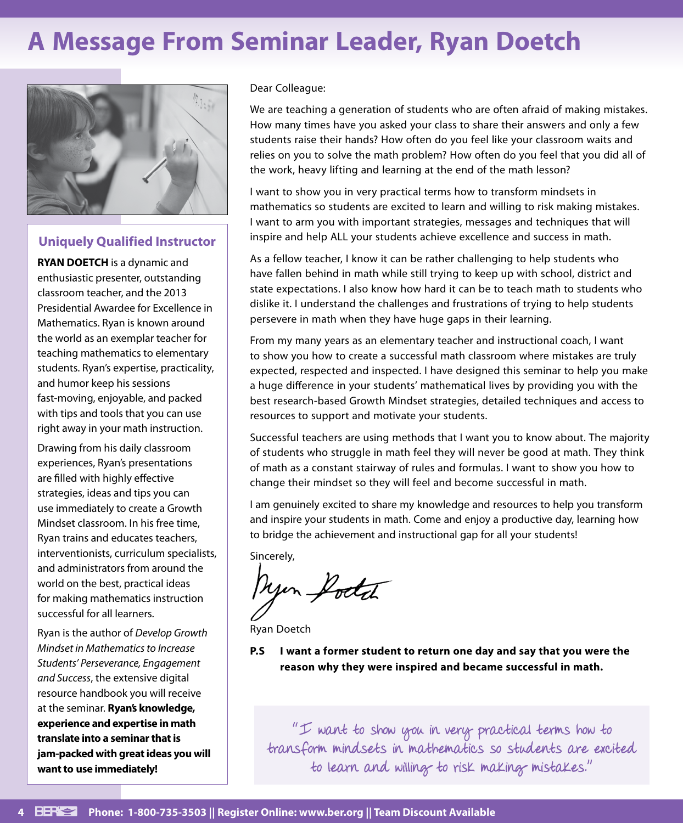# **A Message From Seminar Leader, Ryan Doetch**



#### **Uniquely Qualified Instructor**

**RYAN DOETCH** is a dynamic and enthusiastic presenter, outstanding classroom teacher, and the 2013 Presidential Awardee for Excellence in Mathematics. Ryan is known around the world as an exemplar teacher for teaching mathematics to elementary students. Ryan's expertise, practicality, and humor keep his sessions fast-moving, enjoyable, and packed with tips and tools that you can use right away in your math instruction.

Drawing from his daily classroom experiences, Ryan's presentations are filled with highly effective strategies, ideas and tips you can use immediately to create a Growth Mindset classroom. In his free time, Ryan trains and educates teachers, interventionists, curriculum specialists, and administrators from around the world on the best, practical ideas for making mathematics instruction successful for all learners.

Ryan is the author of *Develop Growth Mindset in Mathematics to Increase Students' Perseverance, Engagement and Success*, the extensive digital resource handbook you will receive at the seminar. **Ryan's knowledge, experience and expertise in math translate into a seminar that is jam-packed with great ideas you will want to use immediately!**

#### Dear Colleague:

We are teaching a generation of students who are often afraid of making mistakes. How many times have you asked your class to share their answers and only a few students raise their hands? How often do you feel like your classroom waits and relies on you to solve the math problem? How often do you feel that you did all of the work, heavy lifting and learning at the end of the math lesson?

I want to show you in very practical terms how to transform mindsets in mathematics so students are excited to learn and willing to risk making mistakes. I want to arm you with important strategies, messages and techniques that will inspire and help ALL your students achieve excellence and success in math.

As a fellow teacher, I know it can be rather challenging to help students who have fallen behind in math while still trying to keep up with school, district and state expectations. I also know how hard it can be to teach math to students who dislike it. I understand the challenges and frustrations of trying to help students persevere in math when they have huge gaps in their learning.

From my many years as an elementary teacher and instructional coach, I want to show you how to create a successful math classroom where mistakes are truly expected, respected and inspected. I have designed this seminar to help you make a huge difference in your students' mathematical lives by providing you with the best research-based Growth Mindset strategies, detailed techniques and access to resources to support and motivate your students.

Successful teachers are using methods that I want you to know about. The majority of students who struggle in math feel they will never be good at math. They think of math as a constant stairway of rules and formulas. I want to show you how to change their mindset so they will feel and become successful in math.

I am genuinely excited to share my knowledge and resources to help you transform and inspire your students in math. Come and enjoy a productive day, learning how to bridge the achievement and instructional gap for all your students!

Sincerely,

Myon Godd

Ryan Doetch

**P.S I want a former student to return one day and say that you were the reason why they were inspired and became successful in math.**

"I want to show you in very practical terms how to transform mindsets in mathematics so students are excited to learn and willing to risk making mistakes."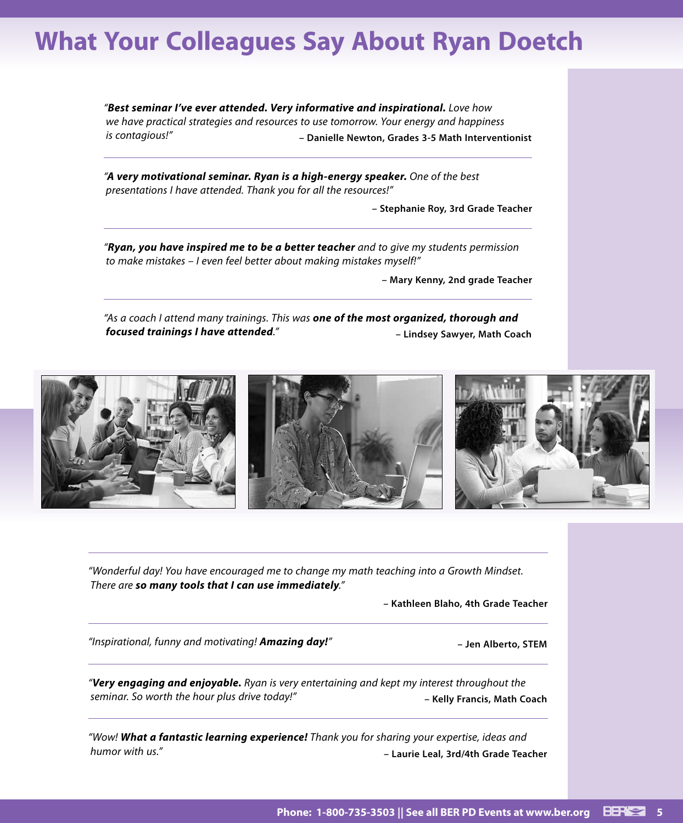## **What Your Colleagues Say About Ryan Doetch**

*"Best seminar I've ever attended. Very informative and inspirational. Love how we have practical strategies and resources to use tomorrow. Your energy and happiness is contagious!"* **– Danielle Newton, Grades 3-5 Math Interventionist**

*"A very motivational seminar. Ryan is a high-energy speaker. One of the best presentations I have attended. Thank you for all the resources!"*

**– Stephanie Roy, 3rd Grade Teacher**

*"Ryan, you have inspired me to be a better teacher and to give my students permission to make mistakes – I even feel better about making mistakes myself!"*

**– Mary Kenny, 2nd grade Teacher**

*"As a coach I attend many trainings. This was one of the most organized, thorough and focused trainings I have attended."* **– Lindsey Sawyer, Math Coach**



*"Wonderful day! You have encouraged me to change my math teaching into a Growth Mindset. There are so many tools that I can use immediately."*

**– Kathleen Blaho, 4th Grade Teacher**

*"Inspirational, funny and motivating! Amazing day!"* **– Jen Alberto, STEM**

*"Very engaging and enjoyable. Ryan is very entertaining and kept my interest throughout the seminar. So worth the hour plus drive today!"* **– Kelly Francis, Math Coach**

*"Wow! What a fantastic learning experience! Thank you for sharing your expertise, ideas and humor with us."* **– Laurie Leal, 3rd/4th Grade Teacher**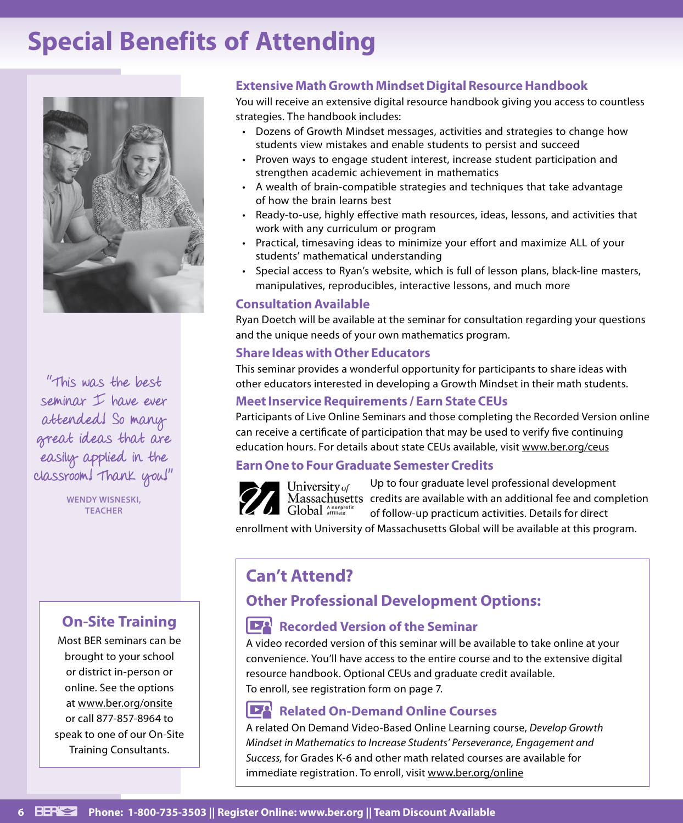# **Special Benefits of Attending**



seminar I have ever attended! So many great ideas that are easily applied in the classroom! Thank you!"

> **WENDY WISNESKI, TEACHER**

### **On-Site Training**

Most BER seminars can be brought to your school or district in-person or online. See the options at www.ber.org/onsite or call 877-857-8964 to speak to one of our On-Site Training Consultants.

#### **Extensive Math Growth Mindset Digital Resource Handbook**

You will receive an extensive digital resource handbook giving you access to countless strategies. The handbook includes:

- Dozens of Growth Mindset messages, activities and strategies to change how students view mistakes and enable students to persist and succeed
- Proven ways to engage student interest, increase student participation and strengthen academic achievement in mathematics
- A wealth of brain-compatible strategies and techniques that take advantage of how the brain learns best
- Ready-to-use, highly effective math resources, ideas, lessons, and activities that work with any curriculum or program
- Practical, timesaving ideas to minimize your effort and maximize ALL of your students' mathematical understanding
- Special access to Ryan's website, which is full of lesson plans, black-line masters, manipulatives, reproducibles, interactive lessons, and much more

#### **Consultation Available**

Ryan Doetch will be available at the seminar for consultation regarding your questions and the unique needs of your own mathematics program.

#### **Share Ideas with Other Educators**

This seminar provides a wonderful opportunity for participants to share ideas with "This was the best other educators interested in developing a Growth Mindset in their math students.

#### **Meet Inservice Requirements / Earn State CEUs**

Participants of Live Online Seminars and those completing the Recorded Version online can receive a certificate of participation that may be used to verify five continuing education hours. For details about state CEUs available, visit www.ber.org/ceus

#### **Earn One to Four Graduate Semester Credits**



Up to four graduate level professional development University of Massachusetts credits are available with an additional fee and completion Global Anonprofi of follow-up practicum activities. Details for direct

enrollment with University of Massachusetts Global will be available at this program.

## **Can't Attend?**

## **Other Professional Development Options:**

#### **Recorded Version of the Seminar**

A video recorded version of this seminar will be available to take online at your convenience. You'll have access to the entire course and to the extensive digital resource handbook. Optional CEUs and graduate credit available. To enroll, see registration form on page 7.

#### **DA Related On-Demand Online Courses**

A related On Demand Video-Based Online Learning course, *Develop Growth Mindset in Mathematics to Increase Students' Perseverance, Engagement and Success,* for Grades K-6 and other math related courses are available for immediate registration. To enroll, visit www.ber.org/online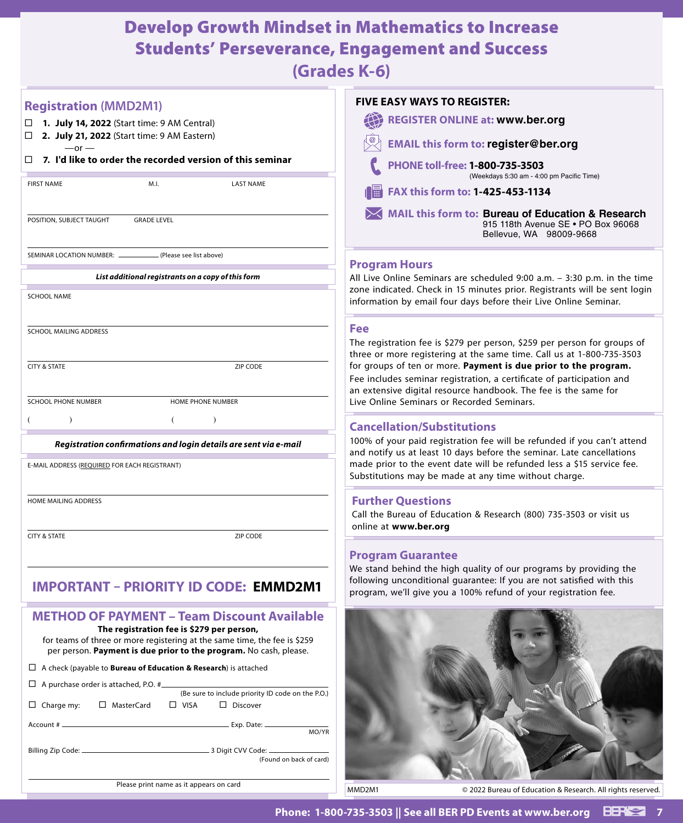## Develop Growth Mindset in Mathematics to Increase Students' Perseverance, Engagement and Success

**(Grades K-6)**

| <b>Registration (MMD2M1)</b>                                                                                                                                                                                                                      | <b>FIVE EASY WAYS TO REGISTER:</b>                                                                                                                                                                            |
|---------------------------------------------------------------------------------------------------------------------------------------------------------------------------------------------------------------------------------------------------|---------------------------------------------------------------------------------------------------------------------------------------------------------------------------------------------------------------|
| 1. July 14, 2022 (Start time: 9 AM Central)<br>$\Box$<br>2. July 21, 2022 (Start time: 9 AM Eastern)<br>□                                                                                                                                         | <b>REGISTER ONLINE at: www.ber.org</b>                                                                                                                                                                        |
| $-$ or $-$                                                                                                                                                                                                                                        | <b>EMAIL this form to: register@ber.org</b>                                                                                                                                                                   |
| $\Box$ 7. I'd like to order the recorded version of this seminar                                                                                                                                                                                  | PHONE toll-free: 1-800-735-3503<br>(Weekdays 5:30 am - 4:00 pm Pacific Time)                                                                                                                                  |
| <b>FIRST NAME</b><br>M.I.<br><b>LAST NAME</b>                                                                                                                                                                                                     | FAX this form to: 1-425-453-1134<br>1篇                                                                                                                                                                        |
| POSITION, SUBJECT TAUGHT<br><b>GRADE LEVEL</b>                                                                                                                                                                                                    | MAIL this form to: Bureau of Education & Research<br>915 118th Avenue SE . PO Box 96068<br>Bellevue, WA 98009-9668                                                                                            |
| SEMINAR LOCATION NUMBER: _<br>(Please see list above)                                                                                                                                                                                             |                                                                                                                                                                                                               |
| List additional registrants on a copy of this form                                                                                                                                                                                                | <b>Program Hours</b><br>All Live Online Seminars are scheduled 9:00 a.m. - 3:30 p.m. in the time                                                                                                              |
| <b>SCHOOL NAME</b>                                                                                                                                                                                                                                | zone indicated. Check in 15 minutes prior. Registrants will be sent login<br>information by email four days before their Live Online Seminar.                                                                 |
| <b>SCHOOL MAILING ADDRESS</b>                                                                                                                                                                                                                     | <b>Fee</b>                                                                                                                                                                                                    |
|                                                                                                                                                                                                                                                   | The registration fee is \$279 per person, \$259 per person for groups of<br>three or more registering at the same time. Call us at 1-800-735-3503                                                             |
| <b>CITY &amp; STATE</b><br>ZIP CODE                                                                                                                                                                                                               | for groups of ten or more. Payment is due prior to the program.<br>Fee includes seminar registration, a certificate of participation and<br>an extensive digital resource handbook. The fee is the same for   |
| <b>SCHOOL PHONE NUMBER</b><br>HOME PHONE NUMBER                                                                                                                                                                                                   | Live Online Seminars or Recorded Seminars.                                                                                                                                                                    |
| (<br>$\lambda$<br>Δ.                                                                                                                                                                                                                              | <b>Cancellation/Substitutions</b>                                                                                                                                                                             |
| Registration confirmations and login details are sent via e-mail                                                                                                                                                                                  | 100% of your paid registration fee will be refunded if you can't attend                                                                                                                                       |
| E-MAIL ADDRESS (REQUIRED FOR EACH REGISTRANT)                                                                                                                                                                                                     | and notify us at least 10 days before the seminar. Late cancellations<br>made prior to the event date will be refunded less a \$15 service fee.<br>Substitutions may be made at any time without charge.      |
| HOME MAILING ADDRESS                                                                                                                                                                                                                              | <b>Further Questions</b><br>Call the Bureau of Education & Research (800) 735-3503 or visit us<br>online at www.ber.org                                                                                       |
| <b>CITY &amp; STATE</b><br>ZIP CODE                                                                                                                                                                                                               |                                                                                                                                                                                                               |
|                                                                                                                                                                                                                                                   | <b>Program Guarantee</b>                                                                                                                                                                                      |
| IMPORTANT – PRIORITY ID CODE: EMMD2M1                                                                                                                                                                                                             | We stand behind the high quality of our programs by providing the<br>following unconditional guarantee: If you are not satisfied with this<br>program, we'll give you a 100% refund of your registration fee. |
| <b>METHOD OF PAYMENT - Team Discount Available</b><br>The registration fee is \$279 per person,<br>for teams of three or more registering at the same time, the fee is \$259<br>per person. Payment is due prior to the program. No cash, please. |                                                                                                                                                                                                               |
| $\Box$ A check (payable to <b>Bureau of Education &amp; Research</b> ) is attached                                                                                                                                                                |                                                                                                                                                                                                               |
| $\Box$ A purchase order is attached, P.O. #<br>(Be sure to include priority ID code on the P.O.)                                                                                                                                                  |                                                                                                                                                                                                               |
| $\Box$ Charge my:<br>MasterCard<br>$\Box$ VISA<br>$\Box$ Discover                                                                                                                                                                                 |                                                                                                                                                                                                               |
| MO/YR                                                                                                                                                                                                                                             |                                                                                                                                                                                                               |
| (Found on back of card)                                                                                                                                                                                                                           |                                                                                                                                                                                                               |
| Please print name as it appears on card                                                                                                                                                                                                           | MMD2M1<br>© 2022 Bureau of Education & Research. All rights reserved.                                                                                                                                         |
|                                                                                                                                                                                                                                                   |                                                                                                                                                                                                               |